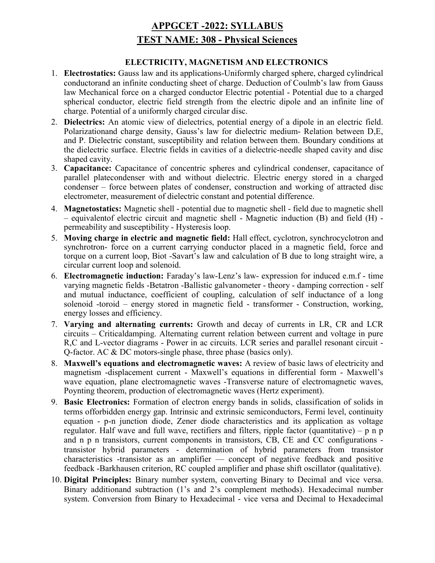# APPGCET -2022: SYLLABUS TEST NAME: 308 - Physical Sciences

## ELECTRICITY, MAGNETISM AND ELECTRONICS

- 1. Electrostatics: Gauss law and its applications-Uniformly charged sphere, charged cylindrical conductorand an infinite conducting sheet of charge. Deduction of Coulmb's law from Gauss law Mechanical force on a charged conductor Electric potential - Potential due to a charged spherical conductor, electric field strength from the electric dipole and an infinite line of charge. Potential of a uniformly charged circular disc.
- 2. Dielectrics: An atomic view of dielectrics, potential energy of a dipole in an electric field. Polarizationand charge density, Gauss's law for dielectric medium- Relation between D,E, and P. Dielectric constant, susceptibility and relation between them. Boundary conditions at the dielectric surface. Electric fields in cavities of a dielectric-needle shaped cavity and disc shaped cavity.
- 3. Capacitance: Capacitance of concentric spheres and cylindrical condenser, capacitance of parallel platecondenser with and without dielectric. Electric energy stored in a charged condenser – force between plates of condenser, construction and working of attracted disc electrometer, measurement of dielectric constant and potential difference.
- 4. Magnetostatics: Magnetic shell potential due to magnetic shell field due to magnetic shell – equivalentof electric circuit and magnetic shell - Magnetic induction (B) and field (H) permeability and susceptibility - Hysteresis loop.
- 5. Moving charge in electric and magnetic field: Hall effect, cyclotron, synchrocyclotron and synchrotron- force on a current carrying conductor placed in a magnetic field, force and torque on a current loop, Biot -Savart's law and calculation of B due to long straight wire, a circular current loop and solenoid.
- 6. Electromagnetic induction: Faraday's law-Lenz's law- expression for induced e.m.f time varying magnetic fields -Betatron -Ballistic galvanometer - theory - damping correction - self and mutual inductance, coefficient of coupling, calculation of self inductance of a long solenoid -toroid – energy stored in magnetic field - transformer - Construction, working, energy losses and efficiency.
- 7. Varying and alternating currents: Growth and decay of currents in LR, CR and LCR circuits – Criticaldamping. Alternating current relation between current and voltage in pure R,C and L-vector diagrams - Power in ac circuits. LCR series and parallel resonant circuit - Q-factor. AC & DC motors-single phase, three phase (basics only).
- 8. Maxwell's equations and electromagnetic waves: A review of basic laws of electricity and magnetism -displacement current - Maxwell's equations in differential form - Maxwell's wave equation, plane electromagnetic waves -Transverse nature of electromagnetic waves, Poynting theorem, production of electromagnetic waves (Hertz experiment).
- 9. Basic Electronics: Formation of electron energy bands in solids, classification of solids in terms offorbidden energy gap. Intrinsic and extrinsic semiconductors, Fermi level, continuity equation - p-n junction diode, Zener diode characteristics and its application as voltage regulator. Half wave and full wave, rectifiers and filters, ripple factor (quantitative) – p n p and n p n transistors, current components in transistors, CB, CE and CC configurations transistor hybrid parameters - determination of hybrid parameters from transistor characteristics -transistor as an amplifier — concept of negative feedback and positive feedback -Barkhausen criterion, RC coupled amplifier and phase shift oscillator (qualitative).
- 10. Digital Principles: Binary number system, converting Binary to Decimal and vice versa. Binary additionand subtraction (1's and 2's complement methods). Hexadecimal number system. Conversion from Binary to Hexadecimal - vice versa and Decimal to Hexadecimal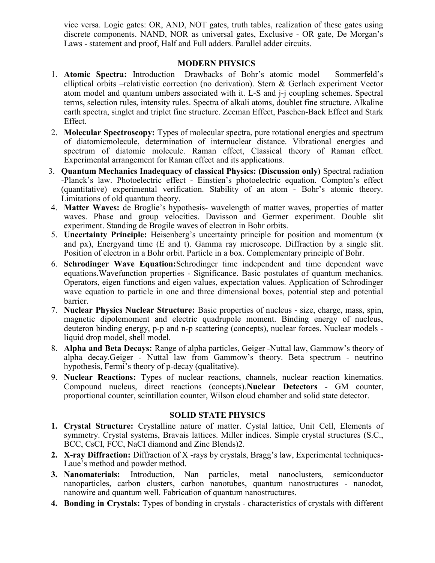vice versa. Logic gates: OR, AND, NOT gates, truth tables, realization of these gates using discrete components. NAND, NOR as universal gates, Exclusive - OR gate, De Morgan's Laws - statement and proof, Half and Full adders. Parallel adder circuits.

## MODERN PHYSICS

- 1. Atomic Spectra: Introduction– Drawbacks of Bohr's atomic model Sommerfeld's elliptical orbits –relativistic correction (no derivation). Stern & Gerlach experiment Vector atom model and quantum umbers associated with it. L-S and j-j coupling schemes. Spectral terms, selection rules, intensity rules. Spectra of alkali atoms, doublet fine structure. Alkaline earth spectra, singlet and triplet fine structure. Zeeman Effect, Paschen-Back Effect and Stark Effect.
- 2. Molecular Spectroscopy: Types of molecular spectra, pure rotational energies and spectrum of diatomicmolecule, determination of internuclear distance. Vibrational energies and spectrum of diatomic molecule. Raman effect, Classical theory of Raman effect. Experimental arrangement for Raman effect and its applications.
- 3. Quantum Mechanics Inadequacy of classical Physics: (Discussion only) Spectral radiation -Planck's law. Photoelectric effect - Einstien's photoelectric equation. Compton's effect (quantitative) experimental verification. Stability of an atom - Bohr's atomic theory. Limitations of old quantum theory.
- 4. Matter Waves: de Broglie's hypothesis- wavelength of matter waves, properties of matter waves. Phase and group velocities. Davisson and Germer experiment. Double slit experiment. Standing de Brogile waves of electron in Bohr orbits.
- 5. Uncertainty Principle: Heisenberg's uncertainty principle for position and momentum (x and px), Energyand time (E and t). Gamma ray microscope. Diffraction by a single slit. Position of electron in a Bohr orbit. Particle in a box. Complementary principle of Bohr.
- 6. Schrodinger Wave Equation:Schrodinger time independent and time dependent wave equations.Wavefunction properties - Significance. Basic postulates of quantum mechanics. Operators, eigen functions and eigen values, expectation values. Application of Schrodinger wave equation to particle in one and three dimensional boxes, potential step and potential barrier.
- 7. Nuclear Physics Nuclear Structure: Basic properties of nucleus size, charge, mass, spin, magnetic dipolemoment and electric quadrupole moment. Binding energy of nucleus, deuteron binding energy, p-p and n-p scattering (concepts), nuclear forces. Nuclear models liquid drop model, shell model.
- 8. Alpha and Beta Decays: Range of alpha particles, Geiger -Nuttal law, Gammow's theory of alpha decay.Geiger - Nuttal law from Gammow's theory. Beta spectrum - neutrino hypothesis, Fermi's theory of p-decay (qualitative).
- 9. Nuclear Reactions: Types of nuclear reactions, channels, nuclear reaction kinematics. Compound nucleus, direct reactions (concepts).Nuclear Detectors - GM counter, proportional counter, scintillation counter, Wilson cloud chamber and solid state detector.

## SOLID STATE PHYSICS

- 1. Crystal Structure: Crystalline nature of matter. Cystal lattice, Unit Cell, Elements of symmetry. Crystal systems, Bravais lattices. Miller indices. Simple crystal structures (S.C., BCC, CsCI, FCC, NaCI diamond and Zinc Blends)2.
- 2. X-ray Diffraction: Diffraction of X-rays by crystals, Bragg's law, Experimental techniques-Laue's method and powder method.
- 3. Nanomaterials: Introduction, Nan particles, metal nanoclusters, semiconductor nanoparticles, carbon clusters, carbon nanotubes, quantum nanostructures - nanodot, nanowire and quantum well. Fabrication of quantum nanostructures.
- 4. Bonding in Crystals: Types of bonding in crystals characteristics of crystals with different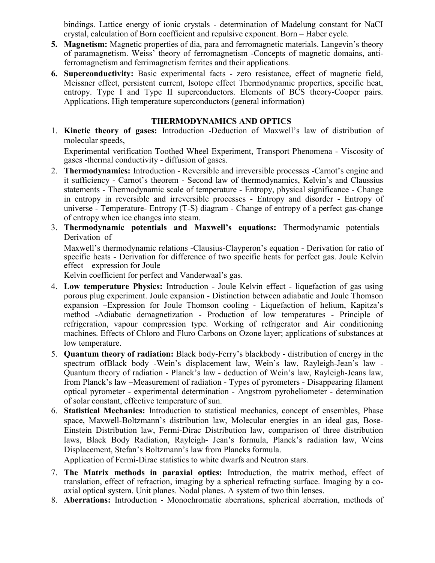bindings. Lattice energy of ionic crystals - determination of Madelung constant for NaCI crystal, calculation of Born coefficient and repulsive exponent. Born – Haber cycle.

- 5. Magnetism: Magnetic properties of dia, para and ferromagnetic materials. Langevin's theory of paramagnetism. Weiss' theory of ferromagnetism -Concepts of magnetic domains, antiferromagnetism and ferrimagnetism ferrites and their applications.
- 6. Superconductivity: Basic experimental facts zero resistance, effect of magnetic field, Meissner effect, persistent current, Isotope effect Thermodynamic properties, specific heat, entropy. Type I and Type II superconductors. Elements of BCS theory-Cooper pairs. Applications. High temperature superconductors (general information)

## THERMODYNAMICS AND OPTICS

1. Kinetic theory of gases: Introduction -Deduction of Maxwell's law of distribution of molecular speeds,

Experimental verification Toothed Wheel Experiment, Transport Phenomena - Viscosity of gases -thermal conductivity - diffusion of gases.

- 2. Thermodynamics: Introduction Reversible and irreversible processes -Carnot's engine and it sufficiency - Carnot's theorem - Second law of thermodynamics, Kelvin's and Claussius statements - Thermodynamic scale of temperature - Entropy, physical significance - Change in entropy in reversible and irreversible processes - Entropy and disorder - Entropy of universe - Temperature- Entropy (T-S) diagram - Change of entropy of a perfect gas-change of entropy when ice changes into steam.
- 3. Thermodynamic potentials and Maxwell's equations: Thermodynamic potentials– Derivation of

Maxwell's thermodynamic relations -Clausius-Clayperon's equation - Derivation for ratio of specific heats - Derivation for difference of two specific heats for perfect gas. Joule Kelvin effect – expression for Joule

Kelvin coefficient for perfect and Vanderwaal's gas.

- 4. Low temperature Physics: Introduction Joule Kelvin effect liquefaction of gas using porous plug experiment. Joule expansion - Distinction between adiabatic and Joule Thomson expansion –Expression for Joule Thomson cooling - Liquefaction of helium, Kapitza's method -Adiabatic demagnetization - Production of low temperatures - Principle of refrigeration, vapour compression type. Working of refrigerator and Air conditioning machines. Effects of Chloro and Fluro Carbons on Ozone layer; applications of substances at low temperature.
- 5. Quantum theory of radiation: Black body-Ferry's blackbody distribution of energy in the spectrum ofBlack body -Wein's displacement law, Wein's law, Rayleigh-Jean's law - Quantum theory of radiation - Planck's law - deduction of Wein's law, Rayleigh-Jeans law, from Planck's law –Measurement of radiation - Types of pyrometers - Disappearing filament optical pyrometer - experimental determination - Angstrom pyroheliometer - determination of solar constant, effective temperature of sun.
- 6. Statistical Mechanics: Introduction to statistical mechanics, concept of ensembles, Phase space, Maxwell-Boltzmann's distribution law, Molecular energies in an ideal gas, Bose-Einstein Distribution law, Fermi-Dirac Distribution law, comparison of three distribution laws, Black Body Radiation, Rayleigh- Jean's formula, Planck's radiation law, Weins Displacement, Stefan's Boltzmann's law from Plancks formula.

Application of Fermi-Dirac statistics to white dwarfs and Neutron stars.

- 7. The Matrix methods in paraxial optics: Introduction, the matrix method, effect of translation, effect of refraction, imaging by a spherical refracting surface. Imaging by a coaxial optical system. Unit planes. Nodal planes. A system of two thin lenses.
- 8. Aberrations: Introduction Monochromatic aberrations, spherical aberration, methods of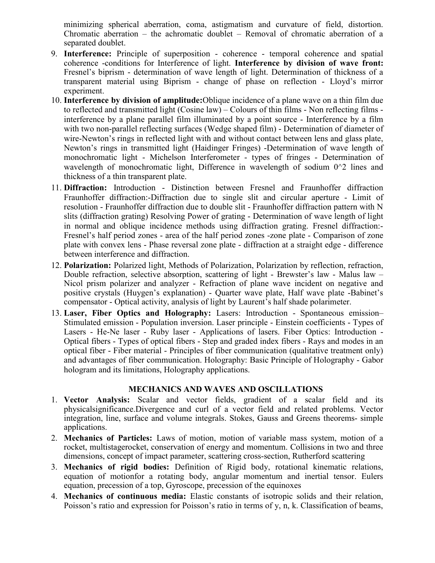minimizing spherical aberration, coma, astigmatism and curvature of field, distortion. Chromatic aberration – the achromatic doublet – Removal of chromatic aberration of a separated doublet.

- 9. Interference: Principle of superposition coherence temporal coherence and spatial coherence -conditions for Interference of light. Interference by division of wave front: Fresnel's biprism - determination of wave length of light. Determination of thickness of a transparent material using Biprism - change of phase on reflection - Lloyd's mirror experiment.
- 10. Interference by division of amplitude:Oblique incidence of a plane wave on a thin film due to reflected and transmitted light (Cosine law) – Colours of thin films - Non reflecting films interference by a plane parallel film illuminated by a point source - Interference by a film with two non-parallel reflecting surfaces (Wedge shaped film) - Determination of diameter of wire-Newton's rings in reflected light with and without contact between lens and glass plate, Newton's rings in transmitted light (Haidinger Fringes) -Determination of wave length of monochromatic light - Michelson Interferometer - types of fringes - Determination of wavelength of monochromatic light, Difference in wavelength of sodium  $0^{\wedge}2$  lines and thickness of a thin transparent plate.
- 11. Diffraction: Introduction Distinction between Fresnel and Fraunhoffer diffraction Fraunhoffer diffraction:-Diffraction due to single slit and circular aperture - Limit of resolution - Fraunhoffer diffraction due to double slit - Fraunhoffer diffraction pattern with N slits (diffraction grating) Resolving Power of grating - Determination of wave length of light in normal and oblique incidence methods using diffraction grating. Fresnel diffraction:- Fresnel's half period zones - area of the half period zones -zone plate - Comparison of zone plate with convex lens - Phase reversal zone plate - diffraction at a straight edge - difference between interference and diffraction.
- 12. Polarization: Polarized light, Methods of Polarization, Polarization by reflection, refraction, Double refraction, selective absorption, scattering of light - Brewster's law - Malus law – Nicol prism polarizer and analyzer - Refraction of plane wave incident on negative and positive crystals (Huygen's explanation) - Quarter wave plate, Half wave plate -Babinet's compensator - Optical activity, analysis of light by Laurent's half shade polarimeter.
- 13. Laser, Fiber Optics and Holography: Lasers: Introduction Spontaneous emission– Stimulated emission - Population inversion. Laser principle - Einstein coefficients - Types of Lasers - He-Ne laser - Ruby laser - Applications of lasers. Fiber Optics: Introduction - Optical fibers - Types of optical fibers - Step and graded index fibers - Rays and modes in an optical fiber - Fiber material - Principles of fiber communication (qualitative treatment only) and advantages of fiber communication. Holography: Basic Principle of Holography - Gabor hologram and its limitations, Holography applications.

### MECHANICS AND WAVES AND OSCILLATIONS

- 1. Vector Analysis: Scalar and vector fields, gradient of a scalar field and its physicalsignificance.Divergence and curl of a vector field and related problems. Vector integration, line, surface and volume integrals. Stokes, Gauss and Greens theorems- simple applications.
- 2. Mechanics of Particles: Laws of motion, motion of variable mass system, motion of a rocket, multistagerocket, conservation of energy and momentum. Collisions in two and three dimensions, concept of impact parameter, scattering cross-section, Rutherford scattering
- 3. Mechanics of rigid bodies: Definition of Rigid body, rotational kinematic relations, equation of motionfor a rotating body, angular momentum and inertial tensor. Eulers equation, precession of a top, Gyroscope, precession of the equinoxes
- 4. Mechanics of continuous media: Elastic constants of isotropic solids and their relation, Poisson's ratio and expression for Poisson's ratio in terms of y, n, k. Classification of beams,